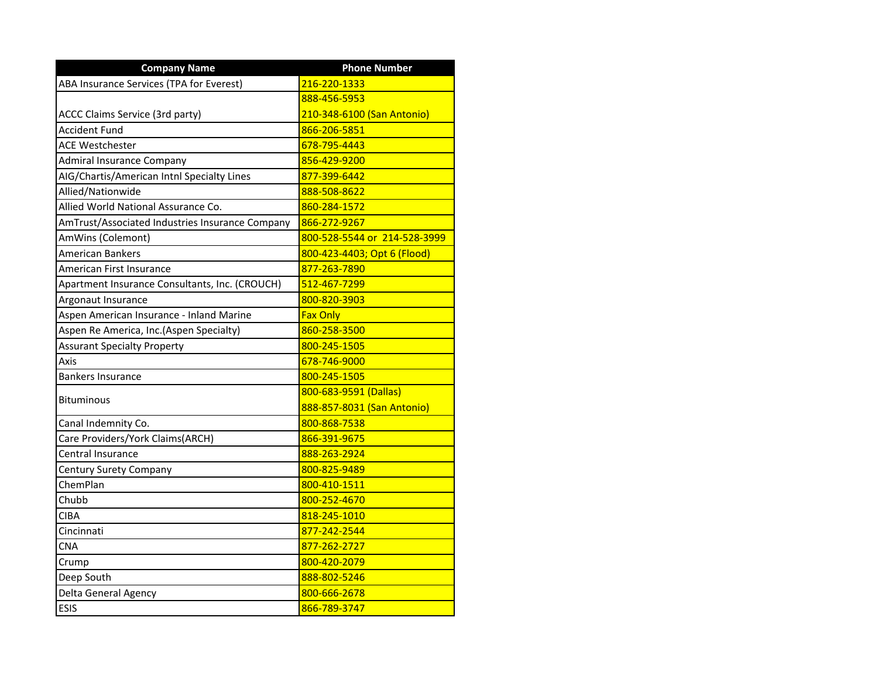| <b>Company Name</b>                             | <b>Phone Number</b>          |
|-------------------------------------------------|------------------------------|
| ABA Insurance Services (TPA for Everest)        | 216-220-1333                 |
|                                                 | 888-456-5953                 |
| ACCC Claims Service (3rd party)                 | 210-348-6100 (San Antonio)   |
| Accident Fund                                   | 866-206-5851                 |
| <b>ACE Westchester</b>                          | 678-795-4443                 |
| Admiral Insurance Company                       | 856-429-9200                 |
| AIG/Chartis/American Intnl Specialty Lines      | 877-399-6442                 |
| Allied/Nationwide                               | 888-508-8622                 |
| Allied World National Assurance Co.             | 860-284-1572                 |
| AmTrust/Associated Industries Insurance Company | 866-272-9267                 |
| AmWins (Colemont)                               | 800-528-5544 or 214-528-3999 |
| <b>American Bankers</b>                         | 800-423-4403; Opt 6 (Flood)  |
| American First Insurance                        | <mark>877-263-7890</mark>    |
| Apartment Insurance Consultants, Inc. (CROUCH)  | 512-467-7299                 |
| Argonaut Insurance                              | 800-820-3903                 |
| Aspen American Insurance - Inland Marine        | <b>Fax Only</b>              |
| Aspen Re America, Inc. (Aspen Specialty)        | 860-258-3500                 |
| <b>Assurant Specialty Property</b>              | 800-245-1505                 |
| Axis                                            | 678-746-9000                 |
| <b>Bankers Insurance</b>                        | 800-245-1505                 |
|                                                 | 800-683-9591 (Dallas)        |
| <b>Bituminous</b>                               | 888-857-8031 (San Antonio)   |
| Canal Indemnity Co.                             | 800-868-7538                 |
| Care Providers/York Claims(ARCH)                | 866-391-9675                 |
| Central Insurance                               | <u>888-263-2924</u>          |
| Century Surety Company                          | 800-825-9489                 |
| <b>ChemPlan</b>                                 | 800-410-1511                 |
| Chubb                                           | 800-252-4670                 |
| <b>CIBA</b>                                     | 818-245-1010                 |
| Cincinnati                                      | 877-242-2544                 |
| <b>CNA</b>                                      | 877-262-2727                 |
| Crump                                           | 800-420-2079                 |
| Deep South                                      | 888-802-5246                 |
| Delta General Agency                            | 800-666-2678                 |
| <b>ESIS</b>                                     | 866-789-3747                 |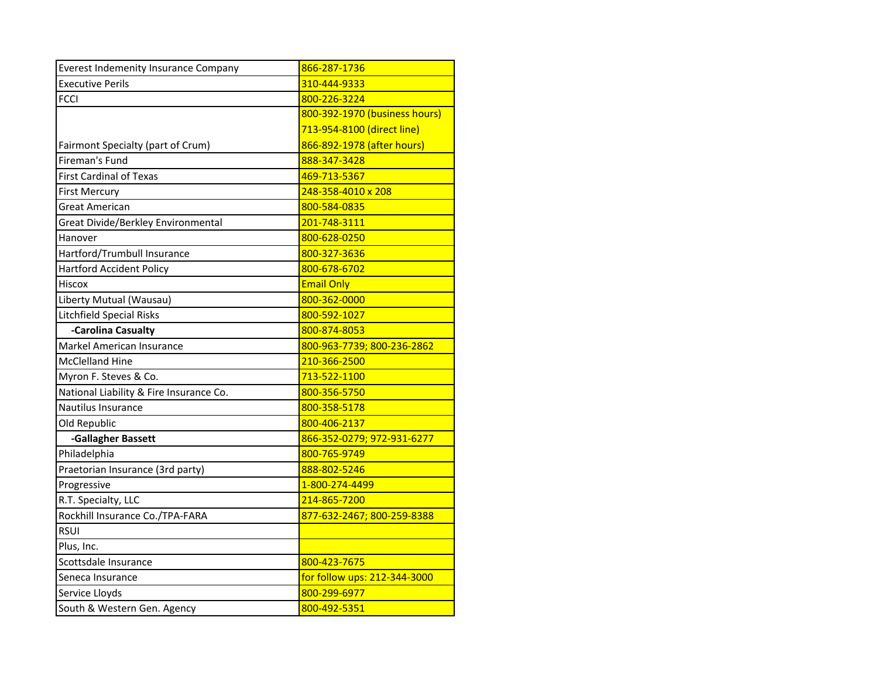| <b>Everest Indemenity Insurance Company</b> | 866-287-1736                  |
|---------------------------------------------|-------------------------------|
| <b>Executive Perils</b>                     | 310-444-9333                  |
| <b>FCCI</b>                                 | 800-226-3224                  |
|                                             | 800-392-1970 (business hours) |
|                                             | 713-954-8100 (direct line)    |
| Fairmont Specialty (part of Crum)           | 866-892-1978 (after hours)    |
| Fireman's Fund                              | 888-347-3428                  |
| <b>First Cardinal of Texas</b>              | 469-713-5367                  |
| <b>First Mercury</b>                        | 248-358-4010 x 208            |
| <b>Great American</b>                       | 800-584-0835                  |
| Great Divide/Berkley Environmental          | 201-748-3111                  |
| Hanover                                     | 800-628-0250                  |
| Hartford/Trumbull Insurance                 | 800-327-3636                  |
| <b>Hartford Accident Policy</b>             | 800-678-6702                  |
| Hiscox                                      | <b>Email Only</b>             |
| Liberty Mutual (Wausau)                     | 800-362-0000                  |
| Litchfield Special Risks                    | 800-592-1027                  |
| -Carolina Casualty                          | 800-874-8053                  |
| Markel American Insurance                   | 800-963-7739; 800-236-2862    |
| McClelland Hine                             | 210-366-2500                  |
| Myron F. Steves & Co.                       | 713-522-1100                  |
| National Liability & Fire Insurance Co.     | 800-356-5750                  |
| Nautilus Insurance                          | 800-358-5178                  |
| Old Republic                                | 800-406-2137                  |
| -Gallagher Bassett                          | 866-352-0279; 972-931-6277    |
| Philadelphia                                | 800-765-9749                  |
| Praetorian Insurance (3rd party)            | 888-802-5246                  |
| Progressive                                 | 1-800-274-4499                |
| R.T. Specialty, LLC                         | 214-865-7200                  |
| Rockhill Insurance Co./TPA-FARA             | 877-632-2467; 800-259-8388    |
| <b>RSUI</b>                                 |                               |
| Plus, Inc.                                  |                               |
| Scottsdale Insurance                        | 800-423-7675                  |
| Seneca Insurance                            | for follow ups: 212-344-3000  |
| Service Lloyds                              | 800-299-6977                  |
| South & Western Gen. Agency                 | 800-492-5351                  |